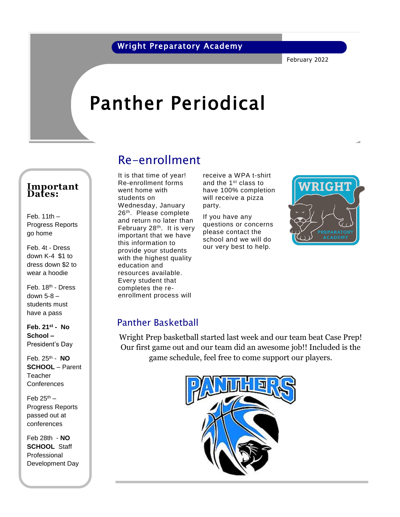February 2022

# Panther Periodical

#### **Important Dates:**

Feb.  $11th -$ Progress Reports go home

Feb. 4t - Dress down K-4 \$1 to dress down \$2 to wear a hoodie

Feb. 18th - Dress down 5-8 – students must have a pass

**Feb. 21st - No School –** President's Day

Feb. 25th - **NO SCHOOL** – Parent **Teacher Conferences** 

Feb  $25<sup>th</sup>$  – Progress Reports passed out at conferences

Feb 28th - **NO SCHOOL** Staff Professional Development Day

### Re-enrollment

Re-enrollment forms went home with students on Wednesday, January 26 th. Please complete and return no later than February 28th. It is very important that we have this information to provide your students with the highest quality education and resources available. Every student that completes the reenrollment process will

It is that time of year! receive a WPA t-shirt and the 1st class to have 100% completion will receive a pizza party.

> If you have any questions or concerns please contact the school and we will do our very best to help.



### Panther Basketball

Wright Prep basketball started last week and our team beat Case Prep! Our first game out and our team did an awesome job!! Included is the game schedule, feel free to come support our players.

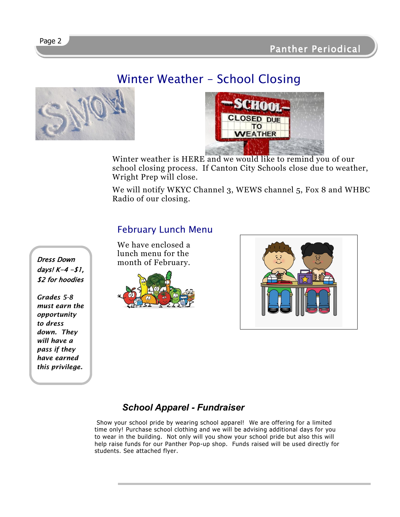## Winter Weather – School Closing





Winter weather is HERE and we would like to remind you of our school closing process. If Canton City Schools close due to weather, Wright Prep will close.

We will notify WKYC Channel 3, WEWS channel 5, Fox 8 and WHBC Radio of our closing.

### February Lunch Menu

We have enclosed a lunch menu for the month of February.





### *School Apparel - Fundraiser*

Show your school pride by wearing school apparel! We are offering for a limited time only! Purchase school clothing and we will be advising additional days for you to wear in the building. Not only will you show your school pride but also this will help raise funds for our Panther Pop-up shop. Funds raised will be used directly for students. See attached flyer.

Dress Down days!  $K-4 - $1,$ **\$2** for hoodies

*Grades 5-8 must earn the opportunity to dress down. They will have a pass if they have earned this privilege.*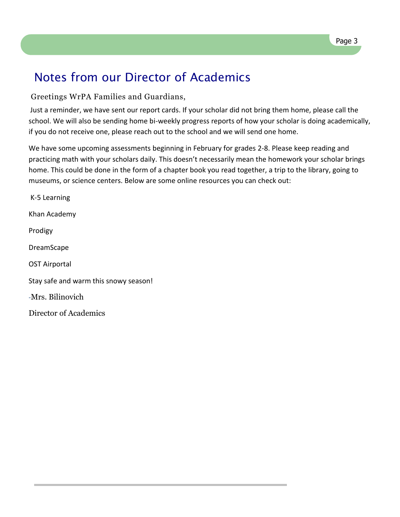### Notes from our Director of Academics

#### Greetings WrPA Families and Guardians,

Just a reminder, we have sent our report cards. If your scholar did not bring them home, please call the school. We will also be sending home bi-weekly progress reports of how your scholar is doing academically, if you do not receive one, please reach out to the school and we will send one home.

We have some upcoming assessments beginning in February for grades 2-8. Please keep reading and practicing math with your scholars daily. This doesn't necessarily mean the homework your scholar brings home. This could be done in the form of a chapter book you read together, a trip to the library, going to museums, or science centers. Below are some online resources you can check out:

K-5 Learning Khan Academy Prodigy DreamScape OST Airportal Stay safe and warm this snowy season! -Mrs. Bilinovich Director of Academics